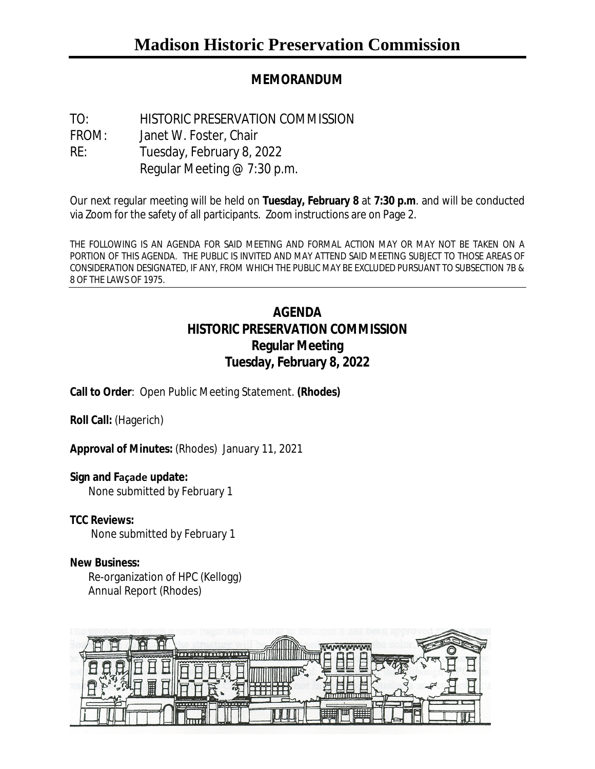# **MEMORANDUM**

TO: HISTORIC PRESERVATION COMMISSION FROM: Janet W. Foster, Chair RE: Tuesday, February 8, 2022 Regular Meeting @ 7:30 p.m.

Our next regular meeting will be held on **Tuesday, February 8** at **7:30 p.m**. and will be conducted via Zoom for the safety of all participants. Zoom instructions are on Page 2.

THE FOLLOWING IS AN AGENDA FOR SAID MEETING AND FORMAL ACTION MAY OR MAY NOT BE TAKEN ON A PORTION OF THIS AGENDA. THE PUBLIC IS INVITED AND MAY ATTEND SAID MEETING SUBJECT TO THOSE AREAS OF CONSIDERATION DESIGNATED, IF ANY, FROM WHICH THE PUBLIC MAY BE EXCLUDED PURSUANT TO SUBSECTION 7B & 8 OF THE LAWS OF 1975.

# **AGENDA HISTORIC PRESERVATION COMMISSION Regular Meeting Tuesday, February 8, 2022**

**Call to Order**: Open Public Meeting Statement. **(Rhodes)**

**Roll Call:** (Hagerich)

**Approval of Minutes:** (Rhodes) January 11, 2021

### **Sign and Façade update:**

None submitted by February 1

## **TCC Reviews:**

None submitted by February 1

### **New Business:**

Re-organization of HPC (Kellogg) Annual Report (Rhodes)